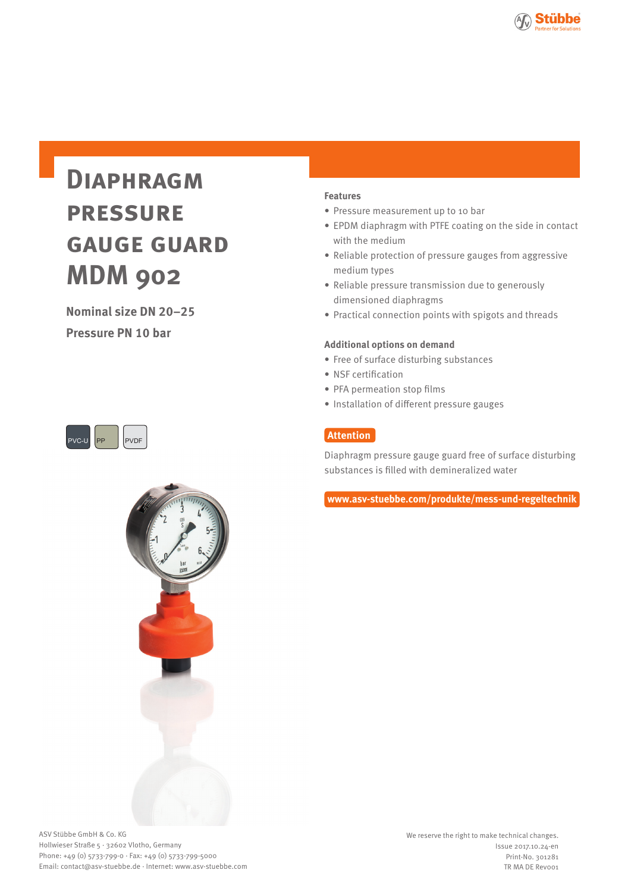

# **Diaphragm pressure gauge guard MDM 902**

**Nominal size DN 20–25**

**Pressure PN 10 bar**





#### **Features**

- Pressure measurement up to 10 bar
- EPDM diaphragm with PTFE coating on the side in contact with the medium
- Reliable protection of pressure gauges from aggressive medium types
- Reliable pressure transmission due to generously dimensioned diaphragms
- Practical connection points with spigots and threads

#### **Additional options on demand**

- Free of surface disturbing substances
- NSF certification
- PFA permeation stop films
- Installation of different pressure gauges

## **Attention**

Diaphragm pressure gauge guard free of surface disturbing substances is filled with demineralized water

**www.asv-stuebbe.com/produkte/mess-und-regeltechnik**

ASV Stübbe GmbH & Co. KG Hollwieser Straße 5 · 32602 Vlotho, Germany Phone: +49 (0) 5733-799-0 · Fax: +49 (0) 5733-799-5000 Email: contact@asv-stuebbe.de · Internet: www.asv-stuebbe.com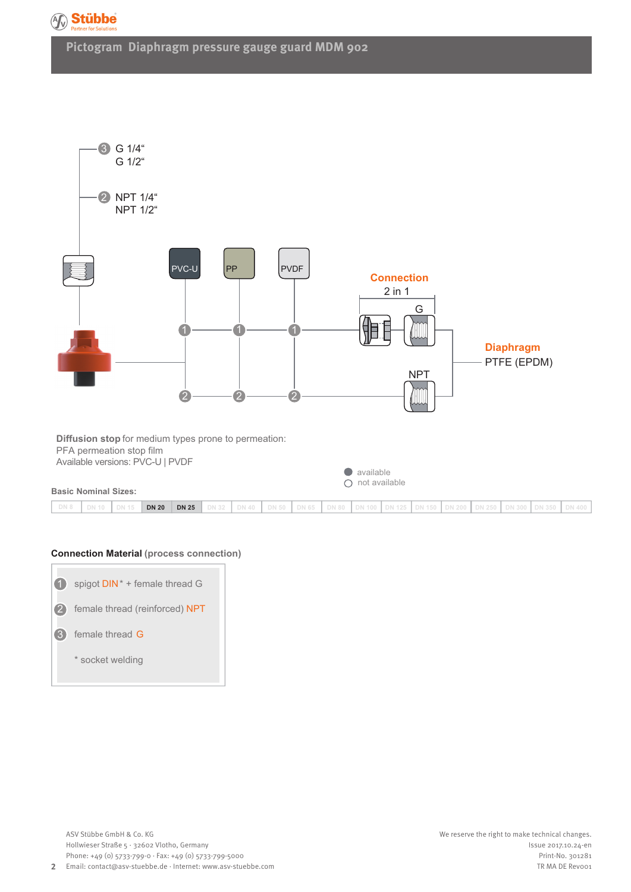

**Pictogram Diaphragm pressure gauge guard MDM 902**



#### **Connection Material (process connection)**

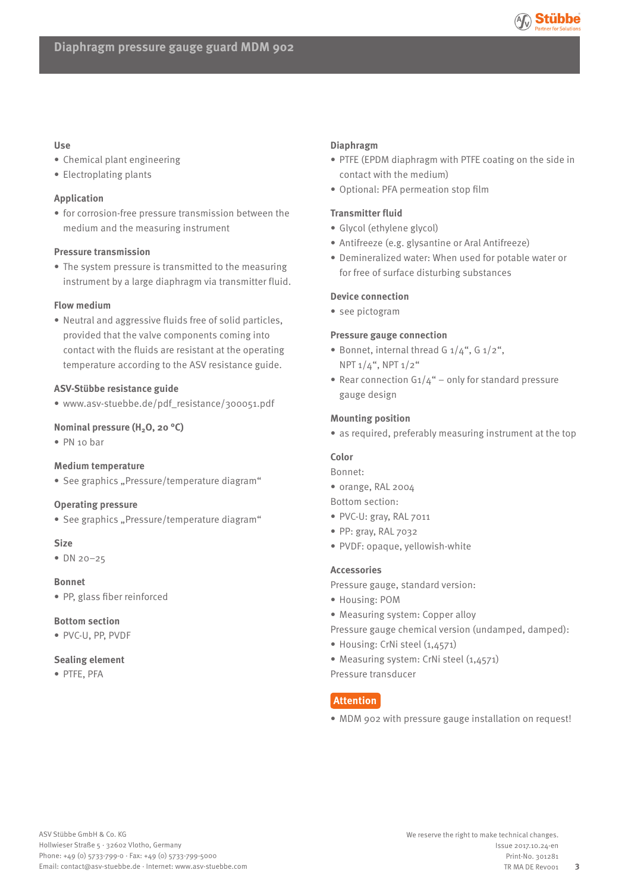

#### **Use**

- Chemical plant engineering
- Electroplating plants

#### **Application**

• for corrosion-free pressure transmission between the medium and the measuring instrument

#### **Pressure transmission**

• The system pressure is transmitted to the measuring instrument by a large diaphragm via transmitter fluid.

#### **Flow medium**

• Neutral and aggressive fluids free of solid particles, provided that the valve components coming into contact with the fluids are resistant at the operating temperature according to the ASV resistance guide.

#### **ASV-Stübbe resistance guide**

• www.asv-stuebbe.de/pdf\_resistance/300051.pdf

#### **Nominal pressure (H<sub>2</sub>O, 20 °C)**

• PN 10 bar

#### **Medium temperature**

• See graphics "Pressure/temperature diagram"

#### **Operating pressure**

• See graphics "Pressure/temperature diagram"

#### **Size**

• DN 20–25

#### **Bonnet**

• PP, glass fiber reinforced

#### **Bottom section**

• PVC-U, PP, PVDF

#### **Sealing element**

• PTFE, PFA

#### **Diaphragm**

- PTFE (EPDM diaphragm with PTFE coating on the side in contact with the medium)
- Optional: PFA permeation stop film

#### **Transmitter fluid**

- Glycol (ethylene glycol)
- Antifreeze (e.g. glysantine or Aral Antifreeze)
- Demineralized water: When used for potable water or for free of surface disturbing substances

#### **Device connection**

• see pictogram

#### **Pressure gauge connection**

- Bonnet, internal thread G  $1/4$ ", G  $1/2$ ", NPT 1/4", NPT 1/2"
- Rear connection  $G_1/4$ " only for standard pressure gauge design

#### **Mounting position**

• as required, preferably measuring instrument at the top

#### **Color**

Bonnet:

• orange, RAL 2004

Bottom section:

- PVC-U: gray, RAL 7011
- PP: gray, RAL 7032
- PVDF: opaque, yellowish-white

#### **Accessories**

Pressure gauge, standard version:

- Housing: POM
- Measuring system: Copper alloy
- Pressure gauge chemical version (undamped, damped):
- Housing: CrNi steel (1,4571)
- Measuring system: CrNi steel (1,4571)

Pressure transducer

### **Attention**

• MDM 902 with pressure gauge installation on request!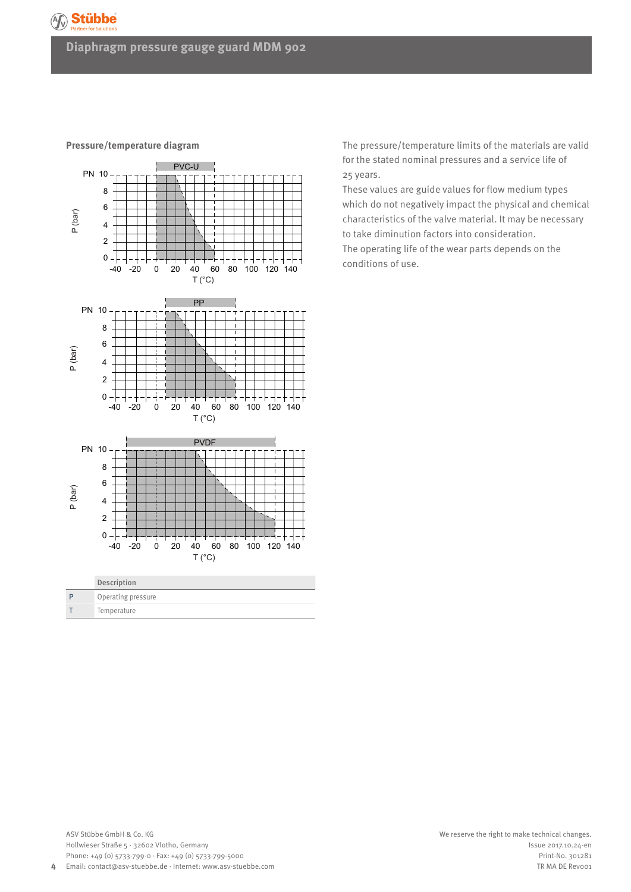## **Diaphragm pressure gauge guard MDM 902**



**Pressure/temperature diagram**

The pressure/temperature limits of the materials are valid for the stated nominal pressures and a service life of 25 years.

These values are guide values for flow medium types which do not negatively impact the physical and chemical characteristics of the valve material. It may be necessary to take diminution factors into consideration.

The operating life of the wear parts depends on the conditions of use.

**4**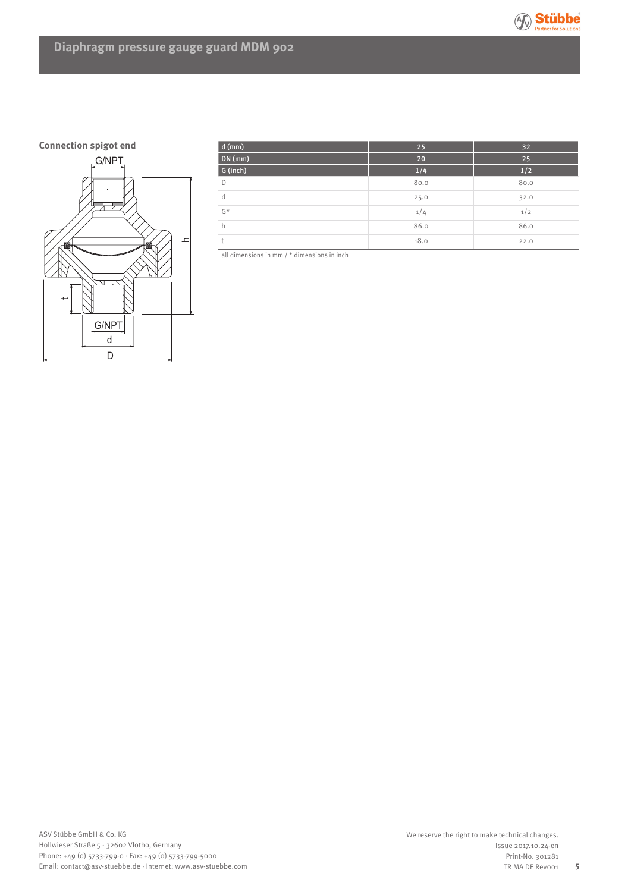

# **Diaphragm pressure gauge guard MDM 902**



| $d$ (mm) | 25   | 32   |
|----------|------|------|
| DN (mm)  | 20   | 25   |
| G (inch) | 1/4  | 1/2  |
| D        | 80.0 | 80.0 |
| d        | 25.0 | 32.0 |
| $G^*$    | 1/4  | 1/2  |
| h        | 86.0 | 86.0 |
| t.       | 18.0 | 22.0 |

all dimensions in mm / \* dimensions in inch

**5**